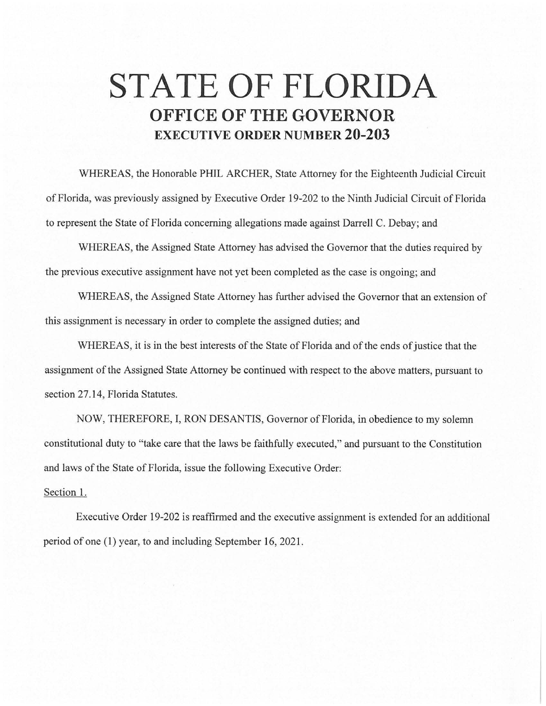## **STATE OF FLORIDA OFFICE OF THE GOVERNOR EXECUTIVE ORDER NUMBER 20-203**

WHEREAS, the Honorable PHIL ARCHER, State Attorney for the Eighteenth Judicial Circuit of Florida, was previously assigned by Executive Order 19-202 to the Ninth Judicial Circuit of Florida to represent the State of Florida concerning allegations made against Darrell C. Debay; and

WHEREAS, the Assigned State Attorney has advised the Governor that the duties required by the previous executive assignment have not yet been completed as the case is ongoing; and

WHEREAS, the Assigned State Attorney has further advised the Governor that an extension of this assignment is necessary in order to complete the assigned duties; and

WHEREAS, it is in the best interests of the State of Florida and of the ends of justice that the assignment of the Assigned State Attorney be continued with respect to the above matters, pursuant to section 27.14, Florida Statutes.

NOW, THEREFORE, I, RON DESANTIS, Governor of Florida, in obedience to my solemn constitutional duty to "take care that the laws be faithfully executed," and pursuant to the Constitution and laws of the State of Florida, issue the following Executive Order:

## Section 1.

Executive Order 19-202 is reaffirmed and the executive assignment is extended for an additional period of one (1) year, to and including September 16, 2021.